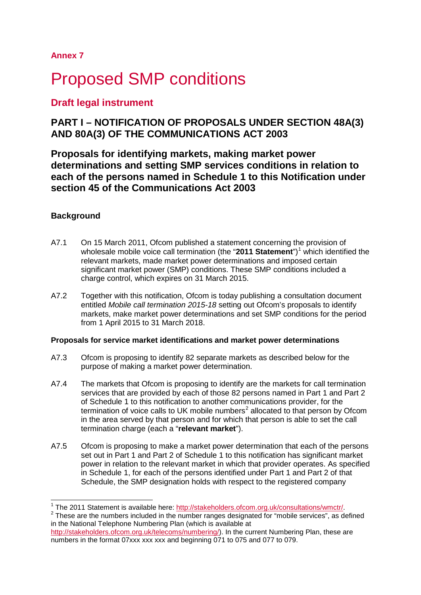**Annex 7**

# **Proposed SMP conditions**

# **Draft legal instrument**

# **PART I – NOTIFICATION OF PROPOSALS UNDER SECTION 48A(3) AND 80A(3) OF THE COMMUNICATIONS ACT 2003**

**Proposals for identifying markets, making market power determinations and setting SMP services conditions in relation to each of the persons named in Schedule 1 to this Notification under section 45 of the Communications Act 2003**

# **Background**

- A7.1 On 15 March 2011, Ofcom published a statement concerning the provision of wholesale mobile voice call termination (the "20[1](#page-0-0)1 Statement")<sup>1</sup> which identified the relevant markets, made market power determinations and imposed certain significant market power (SMP) conditions. These SMP conditions included a charge control, which expires on 31 March 2015.
- A7.2 Together with this notification, Ofcom is today publishing a consultation document entitled *Mobile call termination 2015-18* setting out Ofcom's proposals to identify markets, make market power determinations and set SMP conditions for the period from 1 April 2015 to 31 March 2018.

# **Proposals for service market identifications and market power determinations**

- A7.3 Ofcom is proposing to identify 82 separate markets as described below for the purpose of making a market power determination.
- A7.4 The markets that Ofcom is proposing to identify are the markets for call termination services that are provided by each of those 82 persons named in Part 1 and Part 2 of Schedule 1 to this notification to another communications provider, for the termination of voice calls to UK mobile numbers<sup>[2](#page-0-1)</sup> allocated to that person by Ofcom in the area served by that person and for which that person is able to set the call termination charge (each a "**relevant market**").
- A7.5 Ofcom is proposing to make a market power determination that each of the persons set out in Part 1 and Part 2 of Schedule 1 to this notification has significant market power in relation to the relevant market in which that provider operates. As specified in Schedule 1, for each of the persons identified under Part 1 and Part 2 of that Schedule, the SMP designation holds with respect to the registered company

<span id="page-0-0"></span><sup>&</sup>lt;sup>1</sup> The 2011 Statement is available here: http://stakeholders.ofcom.org.uk/consultations/wmctr/

<span id="page-0-1"></span><sup>&</sup>lt;sup>2</sup> These are the numbers included in the number ranges designated for "mobile services", as defined in the National Telephone Numbering Plan (which is available at

[http://stakeholders.ofcom.org.uk/telecoms/numbering/\)](http://stakeholders.ofcom.org.uk/telecoms/numbering/). In the current Numbering Plan, these are numbers in the format 07xxx xxx xxx and beginning 071 to 075 and 077 to 079.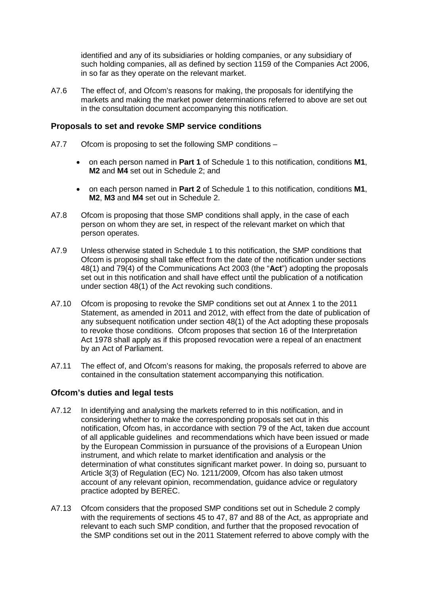identified and any of its subsidiaries or holding companies, or any subsidiary of such holding companies, all as defined by section 1159 of the Companies Act 2006, in so far as they operate on the relevant market.

A7.6 The effect of, and Ofcom's reasons for making, the proposals for identifying the markets and making the market power determinations referred to above are set out in the consultation document accompanying this notification.

# **Proposals to set and revoke SMP service conditions**

- A7.7 Ofcom is proposing to set the following SMP conditions
	- on each person named in **Part 1** of Schedule 1 to this notification, conditions **M1**, **M2** and **M4** set out in Schedule 2; and
	- on each person named in **Part 2** of Schedule 1 to this notification, conditions **M1**, **M2**, **M3** and **M4** set out in Schedule 2.
- A7.8 Ofcom is proposing that those SMP conditions shall apply, in the case of each person on whom they are set, in respect of the relevant market on which that person operates.
- A7.9 Unless otherwise stated in Schedule 1 to this notification, the SMP conditions that Ofcom is proposing shall take effect from the date of the notification under sections 48(1) and 79(4) of the Communications Act 2003 (the "**Act**") adopting the proposals set out in this notification and shall have effect until the publication of a notification under section 48(1) of the Act revoking such conditions.
- A7.10 Ofcom is proposing to revoke the SMP conditions set out at Annex 1 to the 2011 Statement, as amended in 2011 and 2012, with effect from the date of publication of any subsequent notification under section 48(1) of the Act adopting these proposals to revoke those conditions. Ofcom proposes that section 16 of the Interpretation Act 1978 shall apply as if this proposed revocation were a repeal of an enactment by an Act of Parliament.
- A7.11 The effect of, and Ofcom's reasons for making, the proposals referred to above are contained in the consultation statement accompanying this notification.

# **Ofcom's duties and legal tests**

- A7.12 In identifying and analysing the markets referred to in this notification, and in considering whether to make the corresponding proposals set out in this notification, Ofcom has, in accordance with section 79 of the Act, taken due account of all applicable guidelines and recommendations which have been issued or made by the European Commission in pursuance of the provisions of a European Union instrument, and which relate to market identification and analysis or the determination of what constitutes significant market power. In doing so, pursuant to Article 3(3) of Regulation (EC) No. 1211/2009, Ofcom has also taken utmost account of any relevant opinion, recommendation, guidance advice or regulatory practice adopted by BEREC.
- A7.13 Ofcom considers that the proposed SMP conditions set out in Schedule 2 comply with the requirements of sections 45 to 47, 87 and 88 of the Act, as appropriate and relevant to each such SMP condition, and further that the proposed revocation of the SMP conditions set out in the 2011 Statement referred to above comply with the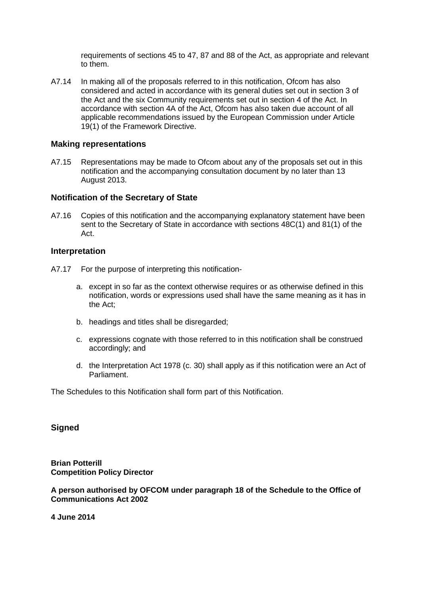requirements of sections 45 to 47, 87 and 88 of the Act, as appropriate and relevant to them.

A7.14 In making all of the proposals referred to in this notification, Ofcom has also considered and acted in accordance with its general duties set out in section 3 of the Act and the six Community requirements set out in section 4 of the Act. In accordance with section 4A of the Act, Ofcom has also taken due account of all applicable recommendations issued by the European Commission under Article 19(1) of the Framework Directive.

# **Making representations**

A7.15 Representations may be made to Ofcom about any of the proposals set out in this notification and the accompanying consultation document by no later than 13 August 2013.

## **Notification of the Secretary of State**

A7.16 Copies of this notification and the accompanying explanatory statement have been sent to the Secretary of State in accordance with sections 48C(1) and 81(1) of the Act.

# **Interpretation**

- A7.17 For the purpose of interpreting this notification
	- a. except in so far as the context otherwise requires or as otherwise defined in this notification, words or expressions used shall have the same meaning as it has in the Act;
	- b. headings and titles shall be disregarded;
	- c. expressions cognate with those referred to in this notification shall be construed accordingly; and
	- d. the Interpretation Act 1978 (c. 30) shall apply as if this notification were an Act of Parliament.

The Schedules to this Notification shall form part of this Notification.

# **Signed**

**Brian Potterill Competition Policy Director**

**A person authorised by OFCOM under paragraph 18 of the Schedule to the Office of Communications Act 2002**

**4 June 2014**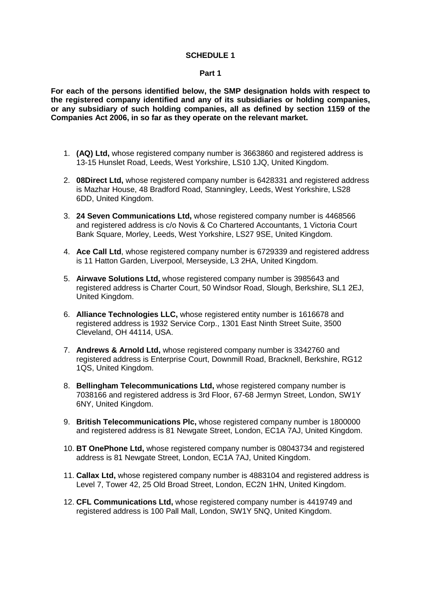## **SCHEDULE 1**

#### **Part 1**

**For each of the persons identified below, the SMP designation holds with respect to the registered company identified and any of its subsidiaries or holding companies, or any subsidiary of such holding companies, all as defined by section 1159 of the Companies Act 2006, in so far as they operate on the relevant market.** 

- 1. **(AQ) Ltd,** whose registered company number is 3663860 and registered address is 13-15 Hunslet Road, Leeds, West Yorkshire, LS10 1JQ, United Kingdom.
- 2. **08Direct Ltd,** whose registered company number is 6428331 and registered address is Mazhar House, 48 Bradford Road, Stanningley, Leeds, West Yorkshire, LS28 6DD, United Kingdom.
- 3. **24 Seven Communications Ltd,** whose registered company number is 4468566 and registered address is c/o Novis & Co Chartered Accountants, 1 Victoria Court Bank Square, Morley, Leeds, West Yorkshire, LS27 9SE, United Kingdom.
- 4. **Ace Call Ltd**, whose registered company number is 6729339 and registered address is 11 Hatton Garden, Liverpool, Merseyside, L3 2HA, United Kingdom.
- 5. **Airwave Solutions Ltd,** whose registered company number is 3985643 and registered address is Charter Court, 50 Windsor Road, Slough, Berkshire, SL1 2EJ, United Kingdom.
- 6. **Alliance Technologies LLC,** whose registered entity number is 1616678 and registered address is 1932 Service Corp., 1301 East Ninth Street Suite, 3500 Cleveland, OH 44114, USA.
- 7. **Andrews & Arnold Ltd,** whose registered company number is 3342760 and registered address is Enterprise Court, Downmill Road, Bracknell, Berkshire, RG12 1QS, United Kingdom.
- 8. **Bellingham Telecommunications Ltd,** whose registered company number is 7038166 and registered address is 3rd Floor, 67-68 Jermyn Street, London, SW1Y 6NY, United Kingdom.
- 9. **British Telecommunications Plc,** whose registered company number is 1800000 and registered address is 81 Newgate Street, London, EC1A 7AJ, United Kingdom.
- 10. **BT OnePhone Ltd,** whose registered company number is 08043734 and registered address is 81 Newgate Street, London, EC1A 7AJ, United Kingdom.
- 11. **Callax Ltd,** whose registered company number is 4883104 and registered address is Level 7, Tower 42, 25 Old Broad Street, London, EC2N 1HN, United Kingdom.
- 12. **CFL Communications Ltd,** whose registered company number is 4419749 and registered address is 100 Pall Mall, London, SW1Y 5NQ, United Kingdom.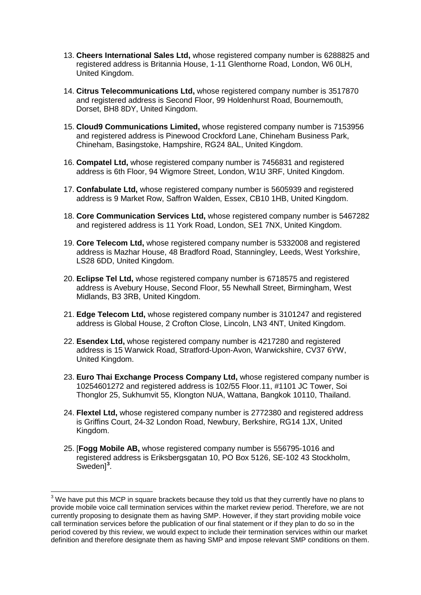- 13. **Cheers International Sales Ltd,** whose registered company number is 6288825 and registered address is Britannia House, 1-11 Glenthorne Road, London, W6 0LH, United Kingdom.
- 14. **Citrus Telecommunications Ltd,** whose registered company number is 3517870 and registered address is Second Floor, 99 Holdenhurst Road, Bournemouth, Dorset, BH8 8DY, United Kingdom.
- 15. **Cloud9 Communications Limited,** whose registered company number is 7153956 and registered address is Pinewood Crockford Lane, Chineham Business Park, Chineham, Basingstoke, Hampshire, RG24 8AL, United Kingdom.
- 16. **Compatel Ltd,** whose registered company number is 7456831 and registered address is 6th Floor, 94 Wigmore Street, London, W1U 3RF, United Kingdom.
- 17. **Confabulate Ltd,** whose registered company number is 5605939 and registered address is 9 Market Row, Saffron Walden, Essex, CB10 1HB, United Kingdom.
- 18. **Core Communication Services Ltd,** whose registered company number is 5467282 and registered address is 11 York Road, London, SE1 7NX, United Kingdom.
- 19. **Core Telecom Ltd,** whose registered company number is 5332008 and registered address is Mazhar House, 48 Bradford Road, Stanningley, Leeds, West Yorkshire, LS28 6DD, United Kingdom.
- 20. **Eclipse Tel Ltd,** whose registered company number is 6718575 and registered address is Avebury House, Second Floor, 55 Newhall Street, Birmingham, West Midlands, B3 3RB, United Kingdom.
- 21. **Edge Telecom Ltd,** whose registered company number is 3101247 and registered address is Global House, 2 Crofton Close, Lincoln, LN3 4NT, United Kingdom.
- 22. **Esendex Ltd,** whose registered company number is 4217280 and registered address is 15 Warwick Road, Stratford-Upon-Avon, Warwickshire, CV37 6YW, United Kingdom.
- 23. **Euro Thai Exchange Process Company Ltd,** whose registered company number is 10254601272 and registered address is 102/55 Floor.11, #1101 JC Tower, Soi Thonglor 25, Sukhumvit 55, Klongton NUA, Wattana, Bangkok 10110, Thailand.
- 24. **Flextel Ltd,** whose registered company number is 2772380 and registered address is Griffins Court, 24-32 London Road, Newbury, Berkshire, RG14 1JX, United Kingdom.
- <span id="page-4-1"></span>25. [**Fogg Mobile AB,** whose registered company number is 556795-1016 and registered address is Eriksbergsgatan 10, PO Box 5126, SE-102 43 Stockholm, Sweden]<sup>[3](#page-4-0)</sup>.

<span id="page-4-0"></span> $3$  We have put this MCP in square brackets because they told us that they currently have no plans to provide mobile voice call termination services within the market review period. Therefore, we are not currently proposing to designate them as having SMP. However, if they start providing mobile voice call termination services before the publication of our final statement or if they plan to do so in the period covered by this review, we would expect to include their termination services within our market definition and therefore designate them as having SMP and impose relevant SMP conditions on them.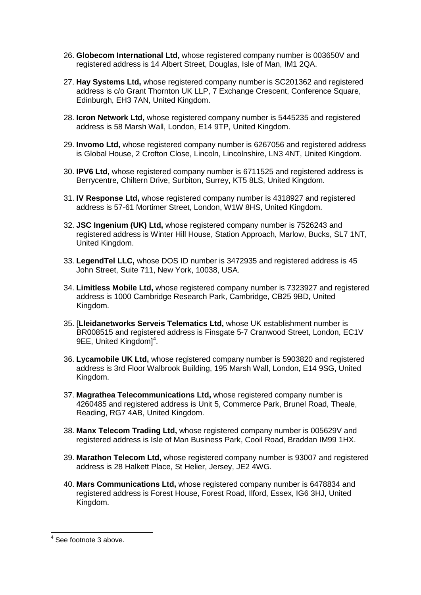- 26. **Globecom International Ltd,** whose registered company number is 003650V and registered address is 14 Albert Street, Douglas, Isle of Man, IM1 2QA.
- 27. **Hay Systems Ltd,** whose registered company number is SC201362 and registered address is c/o Grant Thornton UK LLP, 7 Exchange Crescent, Conference Square, Edinburgh, EH3 7AN, United Kingdom.
- 28. **Icron Network Ltd,** whose registered company number is 5445235 and registered address is 58 Marsh Wall, London, E14 9TP, United Kingdom.
- 29. **Invomo Ltd,** whose registered company number is 6267056 and registered address is Global House, 2 Crofton Close, Lincoln, Lincolnshire, LN3 4NT, United Kingdom.
- 30. **IPV6 Ltd,** whose registered company number is 6711525 and registered address is Berrycentre, Chiltern Drive, Surbiton, Surrey, KT5 8LS, United Kingdom.
- 31. **IV Response Ltd,** whose registered company number is 4318927 and registered address is 57-61 Mortimer Street, London, W1W 8HS, United Kingdom.
- 32. **JSC Ingenium (UK) Ltd,** whose registered company number is 7526243 and registered address is Winter Hill House, Station Approach, Marlow, Bucks, SL7 1NT, United Kingdom.
- 33. **LegendTel LLC,** whose DOS ID number is 3472935 and registered address is 45 John Street, Suite 711, New York, 10038, USA.
- 34. **Limitless Mobile Ltd,** whose registered company number is 7323927 and registered address is 1000 Cambridge Research Park, Cambridge, CB25 9BD, United Kingdom.
- 35. [**Lleidanetworks Serveis Telematics Ltd,** whose UK establishment number is BR008515 and registered address is Finsgate 5-7 Cranwood Street, London, EC1V 9EE, United Kingdom]<sup>[4](#page-5-0)</sup>.
- 36. **Lycamobile UK Ltd,** whose registered company number is 5903820 and registered address is 3rd Floor Walbrook Building, 195 Marsh Wall, London, E14 9SG, United Kingdom.
- 37. **Magrathea Telecommunications Ltd,** whose registered company number is 4260485 and registered address is Unit 5, Commerce Park, Brunel Road, Theale, Reading, RG7 4AB, United Kingdom.
- 38. **Manx Telecom Trading Ltd,** whose registered company number is 005629V and registered address is Isle of Man Business Park, Cooil Road, Braddan IM99 1HX.
- 39. **Marathon Telecom Ltd,** whose registered company number is 93007 and registered address is 28 Halkett Place, St Helier, Jersey, JE2 4WG.
- 40. **Mars Communications Ltd,** whose registered company number is 6478834 and registered address is Forest House, Forest Road, Ilford, Essex, IG6 3HJ, United Kingdom.

<span id="page-5-0"></span> $<sup>4</sup>$  See footnote [3](#page-4-1) above.</sup>  $\overline{\phantom{a}}$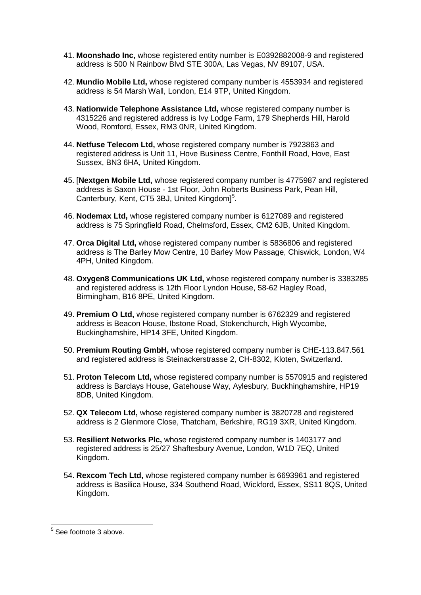- 41. **Moonshado Inc,** whose registered entity number is E0392882008-9 and registered address is 500 N Rainbow Blvd STE 300A, Las Vegas, NV 89107, USA.
- 42. **Mundio Mobile Ltd,** whose registered company number is 4553934 and registered address is 54 Marsh Wall, London, E14 9TP, United Kingdom.
- 43. **Nationwide Telephone Assistance Ltd,** whose registered company number is 4315226 and registered address is Ivy Lodge Farm, 179 Shepherds Hill, Harold Wood, Romford, Essex, RM3 0NR, United Kingdom.
- 44. **Netfuse Telecom Ltd,** whose registered company number is 7923863 and registered address is Unit 11, Hove Business Centre, Fonthill Road, Hove, East Sussex, BN3 6HA, United Kingdom.
- 45. [**Nextgen Mobile Ltd,** whose registered company number is 4775987 and registered address is Saxon House - 1st Floor, John Roberts Business Park, Pean Hill, Canterbury, Kent, CT[5](#page-6-0) 3BJ, United Kingdom]<sup>5</sup>.
- 46. **Nodemax Ltd,** whose registered company number is 6127089 and registered address is 75 Springfield Road, Chelmsford, Essex, CM2 6JB, United Kingdom.
- 47. **Orca Digital Ltd,** whose registered company number is 5836806 and registered address is The Barley Mow Centre, 10 Barley Mow Passage, Chiswick, London, W4 4PH, United Kingdom.
- 48. **Oxygen8 Communications UK Ltd,** whose registered company number is 3383285 and registered address is 12th Floor Lyndon House, 58-62 Hagley Road, Birmingham, B16 8PE, United Kingdom.
- 49. **Premium O Ltd,** whose registered company number is 6762329 and registered address is Beacon House, Ibstone Road, Stokenchurch, High Wycombe, Buckinghamshire, HP14 3FE, United Kingdom.
- 50. **Premium Routing GmbH,** whose registered company number is CHE-113.847.561 and registered address is Steinackerstrasse 2, CH-8302, Kloten, Switzerland.
- 51. **Proton Telecom Ltd,** whose registered company number is 5570915 and registered address is Barclays House, Gatehouse Way, Aylesbury, Buckhinghamshire, HP19 8DB, United Kingdom.
- 52. **QX Telecom Ltd,** whose registered company number is 3820728 and registered address is 2 Glenmore Close, Thatcham, Berkshire, RG19 3XR, United Kingdom.
- 53. **Resilient Networks Plc,** whose registered company number is 1403177 and registered address is 25/27 Shaftesbury Avenue, London, W1D 7EQ, United Kingdom.
- 54. **Rexcom Tech Ltd,** whose registered company number is 6693961 and registered address is Basilica House, 334 Southend Road, Wickford, Essex, SS11 8QS, United Kingdom.

<span id="page-6-0"></span> $5$  See footnote [3](#page-4-1) above.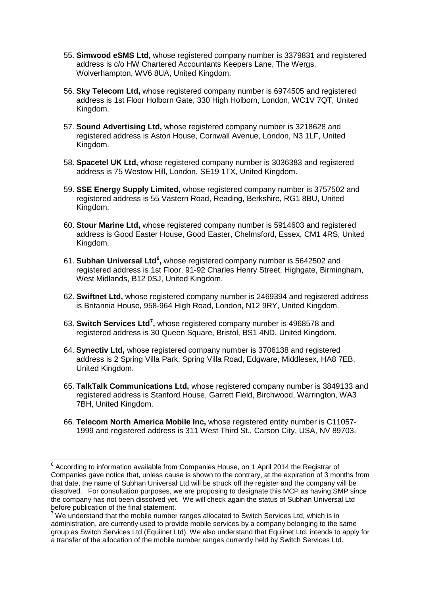- 55. **Simwood eSMS Ltd,** whose registered company number is 3379831 and registered address is c/o HW Chartered Accountants Keepers Lane, The Wergs, Wolverhampton, WV6 8UA, United Kingdom.
- 56. **Sky Telecom Ltd,** whose registered company number is 6974505 and registered address is 1st Floor Holborn Gate, 330 High Holborn, London, WC1V 7QT, United Kingdom.
- 57. **Sound Advertising Ltd,** whose registered company number is 3218628 and registered address is Aston House, Cornwall Avenue, London, N3 1LF, United Kingdom.
- 58. **Spacetel UK Ltd,** whose registered company number is 3036383 and registered address is 75 Westow Hill, London, SE19 1TX, United Kingdom.
- 59. **SSE Energy Supply Limited,** whose registered company number is 3757502 and registered address is 55 Vastern Road, Reading, Berkshire, RG1 8BU, United Kingdom.
- 60. **Stour Marine Ltd,** whose registered company number is 5914603 and registered address is Good Easter House, Good Easter, Chelmsford, Essex, CM1 4RS, United Kingdom.
- 61. **Subhan Universal Ltd[6](#page-7-0) ,** whose registered company number is 5642502 and registered address is 1st Floor, 91-92 Charles Henry Street, Highgate, Birmingham, West Midlands, B12 0SJ, United Kingdom.
- 62. **Swiftnet Ltd,** whose registered company number is 2469394 and registered address is Britannia House, 958-964 High Road, London, N12 9RY, United Kingdom.
- 63. **Switch Services Ltd[7](#page-7-1) ,** whose registered company number is 4968578 and registered address is 30 Queen Square, Bristol, BS1 4ND, United Kingdom.
- 64. **Synectiv Ltd,** whose registered company number is 3706138 and registered address is 2 Spring Villa Park, Spring Villa Road, Edgware, Middlesex, HA8 7EB, United Kingdom.
- 65. **TalkTalk Communications Ltd,** whose registered company number is 3849133 and registered address is Stanford House, Garrett Field, Birchwood, Warrington, WA3 7BH, United Kingdom.
- 66. **Telecom North America Mobile Inc,** whose registered entity number is C11057- 1999 and registered address is 311 West Third St., Carson City, USA, NV 89703.

<span id="page-7-0"></span> $6$  According to information available from Companies House, on 1 April 2014 the Registrar of Companies gave notice that, unless cause is shown to the contrary, at the expiration of 3 months from that date, the name of Subhan Universal Ltd will be struck off the register and the company will be dissolved. For consultation purposes, we are proposing to designate this MCP as having SMP since the company has not been dissolved yet. We will check again the status of Subhan Universal Ltd before publication of the final statement.<br><sup>7</sup> We understand that the mobile number ranges allocated to Switch Services Ltd, which is in

<span id="page-7-1"></span>administration, are currently used to provide mobile services by a company belonging to the same group as Switch Services Ltd (Equiinet Ltd). We also understand that Equiinet Ltd. intends to apply for a transfer of the allocation of the mobile number ranges currently held by Switch Services Ltd.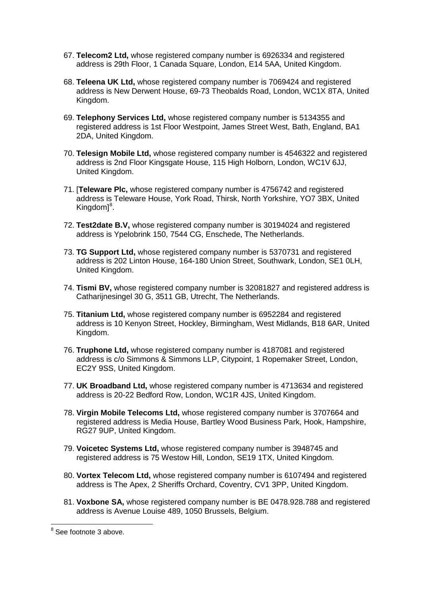- 67. **Telecom2 Ltd,** whose registered company number is 6926334 and registered address is 29th Floor, 1 Canada Square, London, E14 5AA, United Kingdom.
- 68. **Teleena UK Ltd,** whose registered company number is 7069424 and registered address is New Derwent House, 69-73 Theobalds Road, London, WC1X 8TA, United Kingdom.
- 69. **Telephony Services Ltd,** whose registered company number is 5134355 and registered address is 1st Floor Westpoint, James Street West, Bath, England, BA1 2DA, United Kingdom.
- 70. **Telesign Mobile Ltd,** whose registered company number is 4546322 and registered address is 2nd Floor Kingsgate House, 115 High Holborn, London, WC1V 6JJ, United Kingdom.
- 71. [**Teleware Plc,** whose registered company number is 4756742 and registered address is Teleware House, York Road, Thirsk, North Yorkshire, YO7 3BX, United Kingdom]<sup>[8](#page-8-0)</sup>.
- 72. **Test2date B.V,** whose registered company number is 30194024 and registered address is Ypelobrink 150, 7544 CG, Enschede, The Netherlands.
- 73. **TG Support Ltd,** whose registered company number is 5370731 and registered address is 202 Linton House, 164-180 Union Street, Southwark, London, SE1 0LH, United Kingdom.
- 74. **Tismi BV,** whose registered company number is 32081827 and registered address is Catharijnesingel 30 G, 3511 GB, Utrecht, The Netherlands.
- 75. **Titanium Ltd,** whose registered company number is 6952284 and registered address is 10 Kenyon Street, Hockley, Birmingham, West Midlands, B18 6AR, United Kingdom.
- 76. **Truphone Ltd,** whose registered company number is 4187081 and registered address is c/o Simmons & Simmons LLP, Citypoint, 1 Ropemaker Street, London, EC2Y 9SS, United Kingdom.
- 77. **UK Broadband Ltd,** whose registered company number is 4713634 and registered address is 20-22 Bedford Row, London, WC1R 4JS, United Kingdom.
- 78. **Virgin Mobile Telecoms Ltd,** whose registered company number is 3707664 and registered address is Media House, Bartley Wood Business Park, Hook, Hampshire, RG27 9UP, United Kingdom.
- 79. **Voicetec Systems Ltd,** whose registered company number is 3948745 and registered address is 75 Westow Hill, London, SE19 1TX, United Kingdom.
- 80. **Vortex Telecom Ltd,** whose registered company number is 6107494 and registered address is The Apex, 2 Sheriffs Orchard, Coventry, CV1 3PP, United Kingdom.
- 81. **Voxbone SA,** whose registered company number is BE 0478.928.788 and registered address is Avenue Louise 489, 1050 Brussels, Belgium.

<span id="page-8-0"></span> $8$  See footnote [3](#page-4-1) above.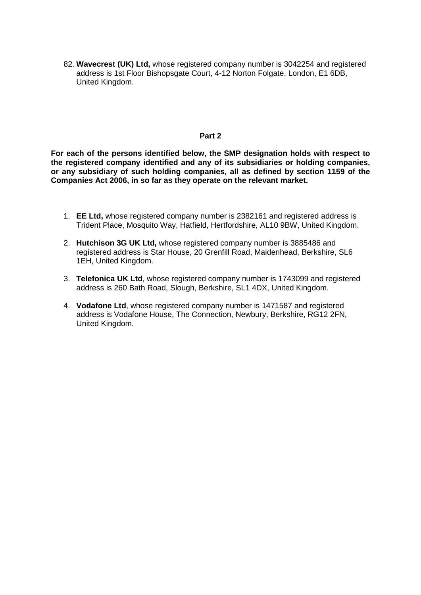82. **Wavecrest (UK) Ltd,** whose registered company number is 3042254 and registered address is 1st Floor Bishopsgate Court, 4-12 Norton Folgate, London, E1 6DB, United Kingdom.

## **Part 2**

**For each of the persons identified below, the SMP designation holds with respect to the registered company identified and any of its subsidiaries or holding companies, or any subsidiary of such holding companies, all as defined by section 1159 of the Companies Act 2006, in so far as they operate on the relevant market.** 

- 1. **EE Ltd,** whose registered company number is 2382161 and registered address is Trident Place, Mosquito Way, Hatfield, Hertfordshire, AL10 9BW, United Kingdom.
- 2. **Hutchison 3G UK Ltd,** whose registered company number is 3885486 and registered address is Star House, 20 Grenfill Road, Maidenhead, Berkshire, SL6 1EH, United Kingdom.
- 3. **Telefonica UK Ltd**, whose registered company number is 1743099 and registered address is 260 Bath Road, Slough, Berkshire, SL1 4DX, United Kingdom.
- 4. **Vodafone Ltd**, whose registered company number is 1471587 and registered address is Vodafone House, The Connection, Newbury, Berkshire, RG12 2FN, United Kingdom.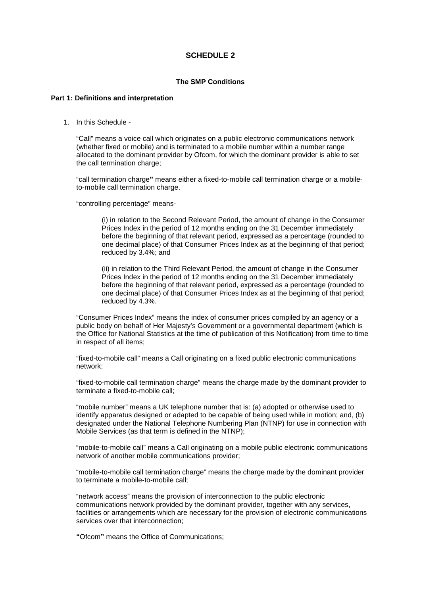# **SCHEDULE 2**

#### **The SMP Conditions**

## **Part 1: Definitions and interpretation**

1. In this Schedule -

"Call" means a voice call which originates on a public electronic communications network (whether fixed or mobile) and is terminated to a mobile number within a number range allocated to the dominant provider by Ofcom, for which the dominant provider is able to set the call termination charge;

"call termination charge**"** means either a fixed-to-mobile call termination charge or a mobileto-mobile call termination charge.

"controlling percentage" means-

(i) in relation to the Second Relevant Period, the amount of change in the Consumer Prices Index in the period of 12 months ending on the 31 December immediately before the beginning of that relevant period, expressed as a percentage (rounded to one decimal place) of that Consumer Prices Index as at the beginning of that period; reduced by 3.4%; and

(ii) in relation to the Third Relevant Period, the amount of change in the Consumer Prices Index in the period of 12 months ending on the 31 December immediately before the beginning of that relevant period, expressed as a percentage (rounded to one decimal place) of that Consumer Prices Index as at the beginning of that period; reduced by 4.3%.

"Consumer Prices Index" means the index of consumer prices compiled by an agency or a public body on behalf of Her Majesty's Government or a governmental department (which is the Office for National Statistics at the time of publication of this Notification) from time to time in respect of all items;

"fixed-to-mobile call" means a Call originating on a fixed public electronic communications network;

"fixed-to-mobile call termination charge" means the charge made by the dominant provider to terminate a fixed-to-mobile call;

"mobile number" means a UK telephone number that is: (a) adopted or otherwise used to identify apparatus designed or adapted to be capable of being used while in motion; and, (b) designated under the National Telephone Numbering Plan (NTNP) for use in connection with Mobile Services (as that term is defined in the NTNP);

"mobile-to-mobile call" means a Call originating on a mobile public electronic communications network of another mobile communications provider;

"mobile-to-mobile call termination charge" means the charge made by the dominant provider to terminate a mobile-to-mobile call;

"network access" means the provision of interconnection to the public electronic communications network provided by the dominant provider, together with any services, facilities or arrangements which are necessary for the provision of electronic communications services over that interconnection;

**"**Ofcom**"** means the Office of Communications;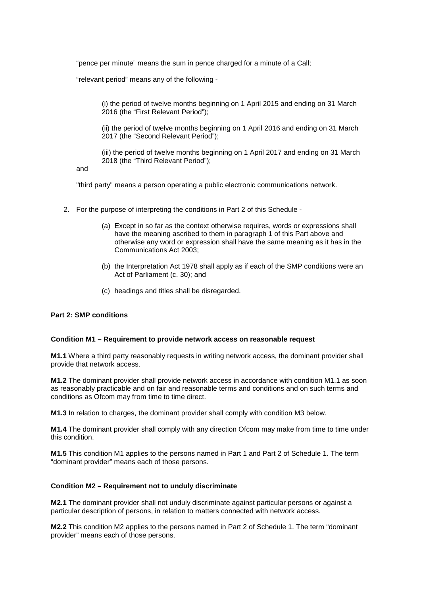"pence per minute" means the sum in pence charged for a minute of a Call;

"relevant period" means any of the following -

(i) the period of twelve months beginning on 1 April 2015 and ending on 31 March 2016 (the "First Relevant Period");

(ii) the period of twelve months beginning on 1 April 2016 and ending on 31 March 2017 (the "Second Relevant Period");

(iii) the period of twelve months beginning on 1 April 2017 and ending on 31 March 2018 (the "Third Relevant Period");

and

"third party" means a person operating a public electronic communications network.

- 2. For the purpose of interpreting the conditions in Part 2 of this Schedule
	- (a) Except in so far as the context otherwise requires, words or expressions shall have the meaning ascribed to them in paragraph 1 of this Part above and otherwise any word or expression shall have the same meaning as it has in the Communications Act 2003;
	- (b) the Interpretation Act 1978 shall apply as if each of the SMP conditions were an Act of Parliament (c. 30); and
	- (c) headings and titles shall be disregarded.

#### **Part 2: SMP conditions**

#### **Condition M1 – Requirement to provide network access on reasonable request**

**M1.1** Where a third party reasonably requests in writing network access, the dominant provider shall provide that network access.

**M1.2** The dominant provider shall provide network access in accordance with condition M1.1 as soon as reasonably practicable and on fair and reasonable terms and conditions and on such terms and conditions as Ofcom may from time to time direct.

**M1.3** In relation to charges, the dominant provider shall comply with condition M3 below.

**M1.4** The dominant provider shall comply with any direction Ofcom may make from time to time under this condition.

**M1.5** This condition M1 applies to the persons named in Part 1 and Part 2 of Schedule 1. The term "dominant provider" means each of those persons.

#### **Condition M2 – Requirement not to unduly discriminate**

**M2.1** The dominant provider shall not unduly discriminate against particular persons or against a particular description of persons, in relation to matters connected with network access.

**M2.2** This condition M2 applies to the persons named in Part 2 of Schedule 1. The term "dominant provider" means each of those persons.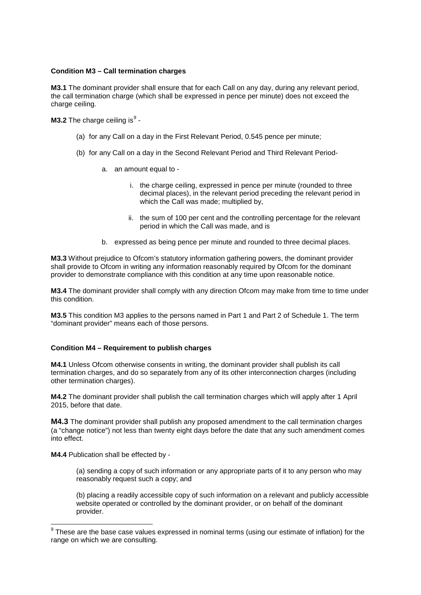#### **Condition M3 – Call termination charges**

**M3.1** The dominant provider shall ensure that for each Call on any day, during any relevant period, the call termination charge (which shall be expressed in pence per minute) does not exceed the charge ceiling.

**M3.2** The charge ceiling is $^9$  $^9$  -

- (a) for any Call on a day in the First Relevant Period, 0.545 pence per minute;
- (b) for any Call on a day in the Second Relevant Period and Third Relevant Period
	- a. an amount equal to
		- i. the charge ceiling, expressed in pence per minute (rounded to three decimal places), in the relevant period preceding the relevant period in which the Call was made; multiplied by,
		- ii. the sum of 100 per cent and the controlling percentage for the relevant period in which the Call was made, and is
	- b. expressed as being pence per minute and rounded to three decimal places.

**M3.3** Without prejudice to Ofcom's statutory information gathering powers, the dominant provider shall provide to Ofcom in writing any information reasonably required by Ofcom for the dominant provider to demonstrate compliance with this condition at any time upon reasonable notice.

**M3.4** The dominant provider shall comply with any direction Ofcom may make from time to time under this condition.

**M3.5** This condition M3 applies to the persons named in Part 1 and Part 2 of Schedule 1. The term "dominant provider" means each of those persons.

#### **Condition M4 – Requirement to publish charges**

**M4.1** Unless Ofcom otherwise consents in writing, the dominant provider shall publish its call termination charges, and do so separately from any of its other interconnection charges (including other termination charges).

**M4.2** The dominant provider shall publish the call termination charges which will apply after 1 April 2015, before that date.

**M4.3** The dominant provider shall publish any proposed amendment to the call termination charges (a "change notice") not less than twenty eight days before the date that any such amendment comes into effect.

**M4.4** Publication shall be effected by -

 $\overline{a}$ 

(a) sending a copy of such information or any appropriate parts of it to any person who may reasonably request such a copy; and

(b) placing a readily accessible copy of such information on a relevant and publicly accessible website operated or controlled by the dominant provider, or on behalf of the dominant provider.

<span id="page-12-0"></span> $9$  These are the base case values expressed in nominal terms (using our estimate of inflation) for the range on which we are consulting.